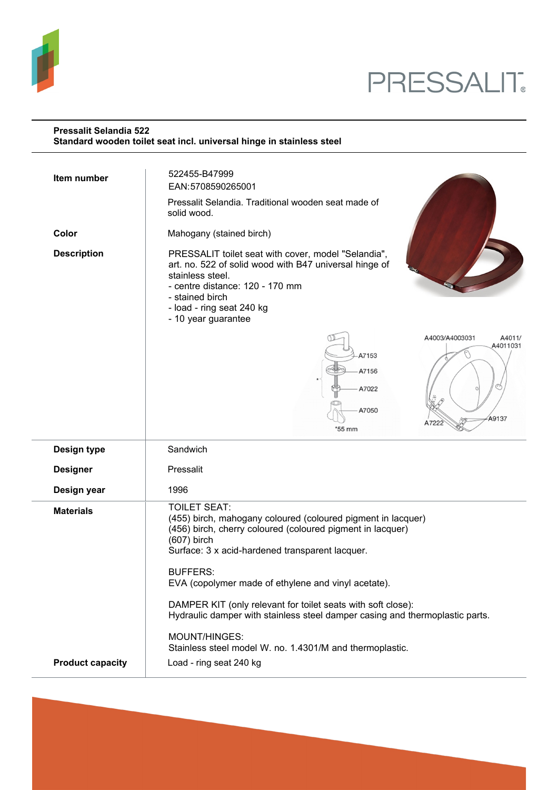

# PRESSALIT.

### **Pressalit Selandia 522 Standard wooden toilet seat incl. universal hinge in stainless steel**

| Item number             | 522455-B47999<br>EAN:5708590265001<br>Pressalit Selandia. Traditional wooden seat made of<br>solid wood.                                                                                                                                                                                        |
|-------------------------|-------------------------------------------------------------------------------------------------------------------------------------------------------------------------------------------------------------------------------------------------------------------------------------------------|
| Color                   | Mahogany (stained birch)                                                                                                                                                                                                                                                                        |
| <b>Description</b>      | PRESSALIT toilet seat with cover, model "Selandia",<br>art. no. 522 of solid wood with B47 universal hinge of<br>stainless steel.<br>- centre distance: 120 - 170 mm<br>- stained birch<br>- load - ring seat 240 kg<br>- 10 year guarantee                                                     |
|                         | A4003/A4003031<br>A4011/<br>A4011031<br>A7153<br>A7156<br>A7022<br>A7050<br>A9137<br>A7222<br>*55 mm                                                                                                                                                                                            |
| Design type             | Sandwich                                                                                                                                                                                                                                                                                        |
| <b>Designer</b>         | Pressalit                                                                                                                                                                                                                                                                                       |
| Design year             | 1996                                                                                                                                                                                                                                                                                            |
| <b>Materials</b>        | <b>TOILET SEAT:</b><br>(455) birch, mahogany coloured (coloured pigment in lacquer)<br>(456) birch, cherry coloured (coloured pigment in lacquer)<br>$(607)$ birch<br>Surface: 3 x acid-hardened transparent lacquer.<br><b>BUFFERS:</b><br>EVA (copolymer made of ethylene and vinyl acetate). |
|                         | DAMPER KIT (only relevant for toilet seats with soft close):<br>Hydraulic damper with stainless steel damper casing and thermoplastic parts.                                                                                                                                                    |
| <b>Product capacity</b> | MOUNT/HINGES:<br>Stainless steel model W. no. 1.4301/M and thermoplastic.<br>Load - ring seat 240 kg                                                                                                                                                                                            |